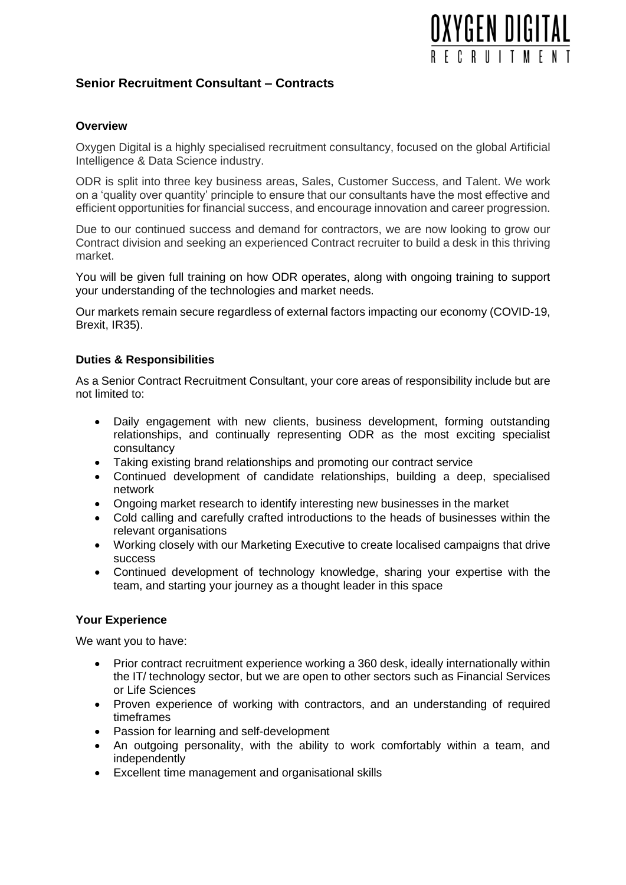# **OXYGEN DIGITAL** FCRIITMF

## **Senior Recruitment Consultant – Contracts**

### **Overview**

Oxygen Digital is a highly specialised recruitment consultancy, focused on the global Artificial Intelligence & Data Science industry.

ODR is split into three key business areas, Sales, Customer Success, and Talent. We work on a 'quality over quantity' principle to ensure that our consultants have the most effective and efficient opportunities for financial success, and encourage innovation and career progression.

Due to our continued success and demand for contractors, we are now looking to grow our Contract division and seeking an experienced Contract recruiter to build a desk in this thriving market.

You will be given full training on how ODR operates, along with ongoing training to support your understanding of the technologies and market needs.

Our markets remain secure regardless of external factors impacting our economy (COVID-19, Brexit, IR35).

### **Duties & Responsibilities**

As a Senior Contract Recruitment Consultant, your core areas of responsibility include but are not limited to:

- Daily engagement with new clients, business development, forming outstanding relationships, and continually representing ODR as the most exciting specialist consultancy
- Taking existing brand relationships and promoting our contract service
- Continued development of candidate relationships, building a deep, specialised network
- Ongoing market research to identify interesting new businesses in the market
- Cold calling and carefully crafted introductions to the heads of businesses within the relevant organisations
- Working closely with our Marketing Executive to create localised campaigns that drive success
- Continued development of technology knowledge, sharing your expertise with the team, and starting your journey as a thought leader in this space

#### **Your Experience**

We want you to have:

- Prior contract recruitment experience working a 360 desk, ideally internationally within the IT/ technology sector, but we are open to other sectors such as Financial Services or Life Sciences
- Proven experience of working with contractors, and an understanding of required timeframes
- Passion for learning and self-development
- An outgoing personality, with the ability to work comfortably within a team, and independently
- Excellent time management and organisational skills